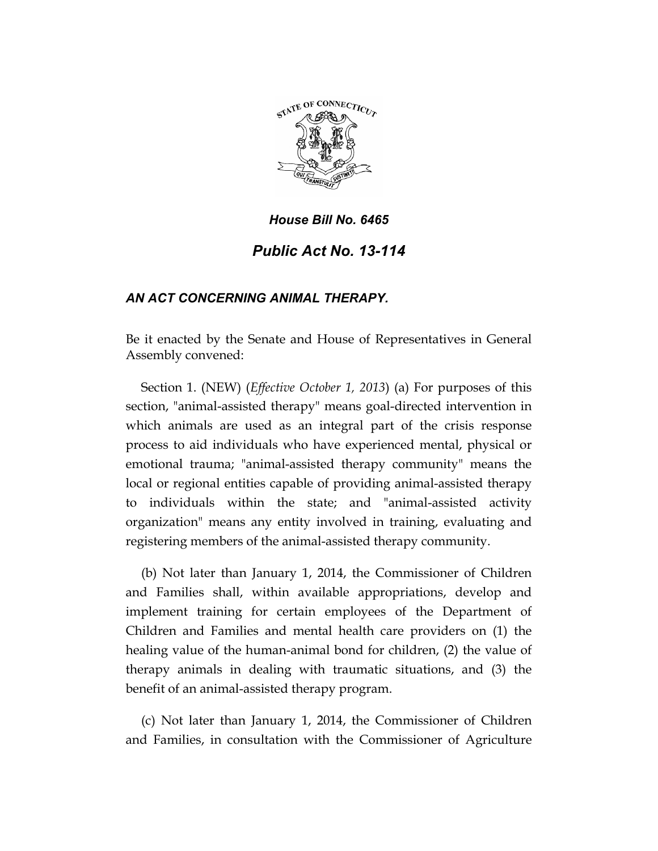

## *House Bill No. 6465 Public Act No. 13-114*

## *AN ACT CONCERNING ANIMAL THERAPY.*

Be it enacted by the Senate and House of Representatives in General Assembly convened:

Section 1. (NEW) (*Effective October 1, 2013*) (a) For purposes of this section, "animal-assisted therapy" means goal-directed intervention in which animals are used as an integral part of the crisis response process to aid individuals who have experienced mental, physical or emotional trauma; "animal-assisted therapy community" means the local or regional entities capable of providing animal-assisted therapy to individuals within the state; and "animal-assisted activity organization" means any entity involved in training, evaluating and registering members of the animal-assisted therapy community.

(b) Not later than January 1, 2014, the Commissioner of Children and Families shall, within available appropriations, develop and implement training for certain employees of the Department of Children and Families and mental health care providers on (1) the healing value of the human-animal bond for children, (2) the value of therapy animals in dealing with traumatic situations, and (3) the benefit of an animal-assisted therapy program.

(c) Not later than January 1, 2014, the Commissioner of Children and Families, in consultation with the Commissioner of Agriculture